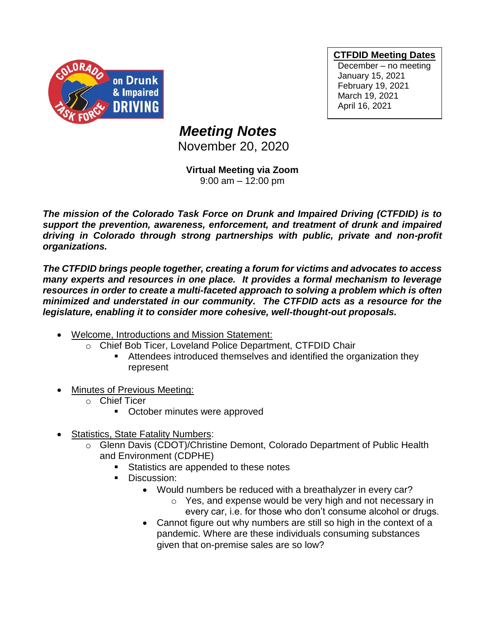

**CTFDID Meeting Dates**

December – no meeting January 15, 2021 February 19, 2021 March 19, 2021 April 16, 2021

## *Meeting Notes*

November 20, 2020

**Virtual Meeting via Zoom** 9:00 am – 12:00 pm

*The mission of the Colorado Task Force on Drunk and Impaired Driving (CTFDID) is to support the prevention, awareness, enforcement, and treatment of drunk and impaired driving in Colorado through strong partnerships with public, private and non-profit organizations.* 

*The CTFDID brings people together, creating a forum for victims and advocates to access many experts and resources in one place. It provides a formal mechanism to leverage*  resources in order to create a multi-faceted approach to solving a problem which is often *minimized and understated in our community. The CTFDID acts as a resource for the legislature, enabling it to consider more cohesive, well-thought-out proposals.* 

- Welcome, Introductions and Mission Statement:
	- o Chief Bob Ticer, Loveland Police Department, CTFDID Chair
		- Attendees introduced themselves and identified the organization they represent
- Minutes of Previous Meeting:
	- o Chief Ticer
		- October minutes were approved
- Statistics, State Fatality Numbers:
	- o Glenn Davis (CDOT)/Christine Demont, Colorado Department of Public Health and Environment (CDPHE)
		- Statistics are appended to these notes
		- Discussion:
			- Would numbers be reduced with a breathalyzer in every car?
				- o Yes, and expense would be very high and not necessary in every car, i.e. for those who don't consume alcohol or drugs.
			- Cannot figure out why numbers are still so high in the context of a pandemic. Where are these individuals consuming substances given that on-premise sales are so low?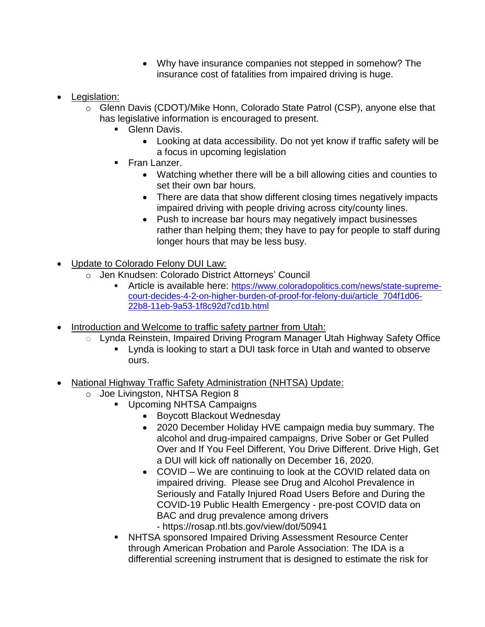- Why have insurance companies not stepped in somehow? The insurance cost of fatalities from impaired driving is huge.
- Legislation:
	- o Glenn Davis (CDOT)/Mike Honn, Colorado State Patrol (CSP), anyone else that has legislative information is encouraged to present.
		- **Glenn Davis.** 
			- Looking at data accessibility. Do not yet know if traffic safety will be a focus in upcoming legislation
		- **•** Fran Lanzer.
			- Watching whether there will be a bill allowing cities and counties to set their own bar hours.
			- There are data that show different closing times negatively impacts impaired driving with people driving across city/county lines.
			- Push to increase bar hours may negatively impact businesses rather than helping them; they have to pay for people to staff during longer hours that may be less busy.
- Update to Colorado Felony DUI Law:
	- o Jen Knudsen: Colorado District Attorneys' Council
		- **EXECTE:** Article is available here: [https://www.coloradopolitics.com/news/state-supreme](https://www.coloradopolitics.com/news/state-supreme-court-decides-4-2-on-higher-burden-of-proof-for-felony-dui/article_704f1d06-22b8-11eb-9a53-1f8c92d7cd1b.html)[court-decides-4-2-on-higher-burden-of-proof-for-felony-dui/article\\_704f1d06-](https://www.coloradopolitics.com/news/state-supreme-court-decides-4-2-on-higher-burden-of-proof-for-felony-dui/article_704f1d06-22b8-11eb-9a53-1f8c92d7cd1b.html) [22b8-11eb-9a53-1f8c92d7cd1b.html](https://www.coloradopolitics.com/news/state-supreme-court-decides-4-2-on-higher-burden-of-proof-for-felony-dui/article_704f1d06-22b8-11eb-9a53-1f8c92d7cd1b.html)
- Introduction and Welcome to traffic safety partner from Utah:
	- o Lynda Reinstein, Impaired Driving Program Manager Utah Highway Safety Office
		- Lynda is looking to start a DUI task force in Utah and wanted to observe ours.
- National Highway Traffic Safety Administration (NHTSA) Update:
	- o Joe Livingston, NHTSA Region 8
		- Upcoming NHTSA Campaigns
			- Boycott Blackout Wednesday
			- 2020 December Holiday HVE campaign media buy summary. The alcohol and drug-impaired campaigns, Drive Sober or Get Pulled Over and If You Feel Different, You Drive Different. Drive High, Get a DUI will kick off nationally on December 16, 2020.
			- COVID We are continuing to look at the COVID related data on impaired driving. Please see Drug and Alcohol Prevalence in Seriously and Fatally Injured Road Users Before and During the COVID-19 Public Health Emergency - pre-post COVID data on BAC and drug prevalence among drivers
				- [https://rosap.ntl.bts.gov/view/dot/50941](https://urldefense.com/v3/__https:/rosap.ntl.bts.gov/view/dot/50941__;!!PUG2raq7KiCZwBk!PPYTnaXVs3aPGdAV5V0bSlp9Z55HTz8MVqP_YUeJcpQargl9XBc8fEP0S33P91c6TDQ9gw$)
			- NHTSA sponsored Impaired Driving Assessment Resource Center through American Probation and Parole Association: The IDA is a differential screening instrument that is designed to estimate the risk for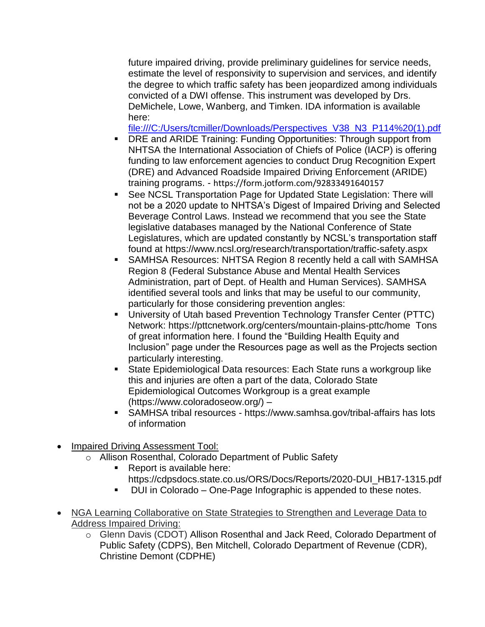future impaired driving, provide preliminary guidelines for service needs, estimate the level of responsivity to supervision and services, and identify the degree to which traffic safety has been jeopardized among individuals convicted of a DWI offense. This instrument was developed by Drs. DeMichele, Lowe, Wanberg, and Timken. IDA information is available here:

[file:///C:/Users/tcmiller/Downloads/Perspectives\\_V38\\_N3\\_P114%20\(1\).pdf](file:///C:/Users/tcmiller/Downloads/Perspectives_V38_N3_P114%20(1).pdf)

- DRE and ARIDE Training: Funding Opportunities: Through support from NHTSA the International Association of Chiefs of Police (IACP) is offering funding to law enforcement agencies to conduct Drug Recognition Expert (DRE) and Advanced Roadside Impaired Driving Enforcement (ARIDE) training programs. - [https://form.jotform.com/92833491640157](https://urldefense.com/v3/__https:/form.jotform.com/92833491640157__;!!PUG2raq7KiCZwBk!PPYTnaXVs3aPGdAV5V0bSlp9Z55HTz8MVqP_YUeJcpQargl9XBc8fEP0S33P91flxiUumw$)
- See NCSL Transportation Page for Updated State Legislation: There will not be a 2020 update to NHTSA's Digest of Impaired Driving and Selected Beverage Control Laws. Instead we recommend that you see the State legislative databases managed by the National Conference of State Legislatures, which are updated constantly by NCSL's transportation staff found at [https://www.ncsl.org/research/transportation/traffic-safety.aspx](https://urldefense.com/v3/__https:/www.ncsl.org/research/transportation/traffic-safety.aspx__;!!PUG2raq7KiCZwBk!PPYTnaXVs3aPGdAV5V0bSlp9Z55HTz8MVqP_YUeJcpQargl9XBc8fEP0S33P91ef9BVHig$)
- SAMHSA Resources: NHTSA Region 8 recently held a call with SAMHSA Region 8 (Federal Substance Abuse and Mental Health Services Administration, part of Dept. of Health and Human Services). SAMHSA identified several tools and links that may be useful to our community, particularly for those considering prevention angles:
- University of Utah based Prevention Technology Transfer Center (PTTC) Network: [https://pttcnetwork.org/centers/mountain-plains-pttc/home](https://urldefense.com/v3/__https:/pttcnetwork.org/centers/mountain-plains-pttc/home__;!!PUG2raq7KiCZwBk!PPYTnaXVs3aPGdAV5V0bSlp9Z55HTz8MVqP_YUeJcpQargl9XBc8fEP0S33P91e2ocjeaQ$) Tons of great information here. I found the "Building Health Equity and Inclusion" page under the Resources page as well as the Projects section particularly interesting.
- State Epidemiological Data resources: Each State runs a workgroup like this and injuries are often a part of the data, Colorado State Epidemiological Outcomes Workgroup is a great example [\(https://www.coloradoseow.org/\)](https://urldefense.com/v3/__https:/www.coloradoseow.org/__;!!PUG2raq7KiCZwBk!PPYTnaXVs3aPGdAV5V0bSlp9Z55HTz8MVqP_YUeJcpQargl9XBc8fEP0S33P91ccu0JHAA$) –
- SAMHSA tribal resources [https://www.samhsa.gov/tribal-affairs](https://urldefense.com/v3/__https:/www.samhsa.gov/tribal-affairs__;!!PUG2raq7KiCZwBk!PPYTnaXVs3aPGdAV5V0bSlp9Z55HTz8MVqP_YUeJcpQargl9XBc8fEP0S33P91cDTXq_bg$) has lots of information
- Impaired Driving Assessment Tool:
	- o Allison Rosenthal, Colorado Department of Public Safety
		- Report is available here: https://cdpsdocs.state.co.us/ORS/Docs/Reports/2020-DUI\_HB17-1315.pdf
		- DUI in Colorado One-Page Infographic is appended to these notes.
- NGA Learning Collaborative on State Strategies to Strengthen and Leverage Data to Address Impaired Driving:
	- o Glenn Davis (CDOT) Allison Rosenthal and Jack Reed, Colorado Department of Public Safety (CDPS), Ben Mitchell, Colorado Department of Revenue (CDR), Christine Demont (CDPHE)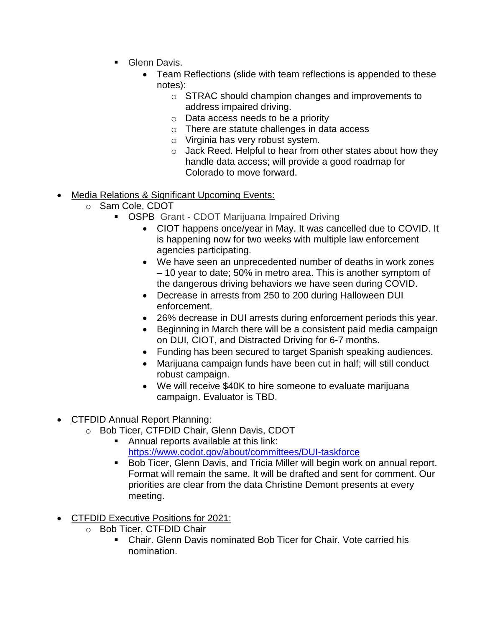- **Glenn Davis.** 
	- Team Reflections (slide with team reflections is appended to these notes):
		- o STRAC should champion changes and improvements to address impaired driving.
		- o Data access needs to be a priority
		- o There are statute challenges in data access
		- o Virginia has very robust system.
		- o Jack Reed. Helpful to hear from other states about how they handle data access; will provide a good roadmap for Colorado to move forward.
- Media Relations & Significant Upcoming Events:
	- o Sam Cole, CDOT
		- **OSPB** Grant CDOT Marijuana Impaired Driving
			- CIOT happens once/year in May. It was cancelled due to COVID. It is happening now for two weeks with multiple law enforcement agencies participating.
			- We have seen an unprecedented number of deaths in work zones – 10 year to date; 50% in metro area. This is another symptom of the dangerous driving behaviors we have seen during COVID.
			- Decrease in arrests from 250 to 200 during Halloween DUI enforcement.
			- 26% decrease in DUI arrests during enforcement periods this year.
			- Beginning in March there will be a consistent paid media campaign on DUI, CIOT, and Distracted Driving for 6-7 months.
			- Funding has been secured to target Spanish speaking audiences.
			- Marijuana campaign funds have been cut in half; will still conduct robust campaign.
			- We will receive \$40K to hire someone to evaluate marijuana campaign. Evaluator is TBD.
- CTFDID Annual Report Planning:
	- o Bob Ticer, CTFDID Chair, Glenn Davis, CDOT
		- Annual reports available at this link: <https://www.codot.gov/about/committees/DUI-taskforce>
		- Bob Ticer, Glenn Davis, and Tricia Miller will begin work on annual report. Format will remain the same. It will be drafted and sent for comment. Our priorities are clear from the data Christine Demont presents at every meeting.
- CTFDID Executive Positions for 2021:
	- o Bob Ticer, CTFDID Chair
		- Chair, Glenn Davis nominated Bob Ticer for Chair. Vote carried his nomination.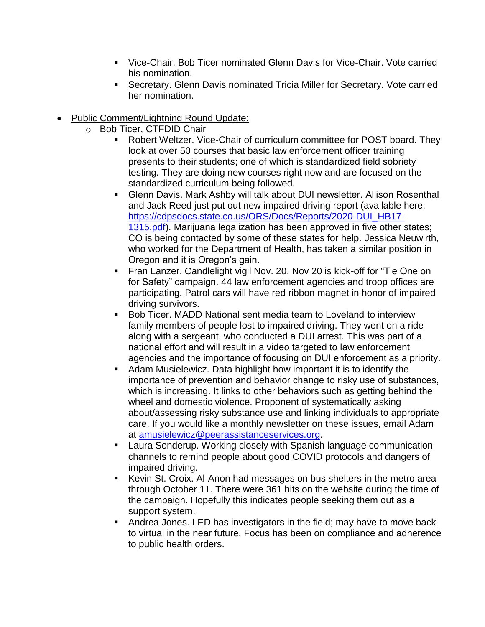- Vice-Chair. Bob Ticer nominated Glenn Davis for Vice-Chair. Vote carried his nomination.
- Secretary. Glenn Davis nominated Tricia Miller for Secretary. Vote carried her nomination.

## • Public Comment/Lightning Round Update:

- o Bob Ticer, CTFDID Chair
	- Robert Weltzer. Vice-Chair of curriculum committee for POST board. They look at over 50 courses that basic law enforcement officer training presents to their students; one of which is standardized field sobriety testing. They are doing new courses right now and are focused on the standardized curriculum being followed.
	- **E.** Glenn Davis. Mark Ashby will talk about DUI newsletter. Allison Rosenthal and Jack Reed just put out new impaired driving report (available here: [https://cdpsdocs.state.co.us/ORS/Docs/Reports/2020-DUI\\_HB17-](https://cdpsdocs.state.co.us/ORS/Docs/Reports/2020-DUI_HB17-1315.pdf) [1315.pdf\)](https://cdpsdocs.state.co.us/ORS/Docs/Reports/2020-DUI_HB17-1315.pdf). Marijuana legalization has been approved in five other states; CO is being contacted by some of these states for help. Jessica Neuwirth, who worked for the Department of Health, has taken a similar position in Oregon and it is Oregon's gain.
	- **EXA** Fran Lanzer. Candlelight vigil Nov. 20. Nov 20 is kick-off for "Tie One on for Safety" campaign. 44 law enforcement agencies and troop offices are participating. Patrol cars will have red ribbon magnet in honor of impaired driving survivors.
	- Bob Ticer. MADD National sent media team to Loveland to interview family members of people lost to impaired driving. They went on a ride along with a sergeant, who conducted a DUI arrest. This was part of a national effort and will result in a video targeted to law enforcement agencies and the importance of focusing on DUI enforcement as a priority.
	- Adam Musielewicz. Data highlight how important it is to identify the importance of prevention and behavior change to risky use of substances, which is increasing. It links to other behaviors such as getting behind the wheel and domestic violence. Proponent of systematically asking about/assessing risky substance use and linking individuals to appropriate care. If you would like a monthly newsletter on these issues, email Adam at [amusielewicz@peerassistanceservices.org.](mailto:amusielewicz@peerassistanceservices.org)
	- Laura Sonderup. Working closely with Spanish language communication channels to remind people about good COVID protocols and dangers of impaired driving.
	- Kevin St. Croix. Al-Anon had messages on bus shelters in the metro area through October 11. There were 361 hits on the website during the time of the campaign. Hopefully this indicates people seeking them out as a support system.
	- Andrea Jones. LED has investigators in the field; may have to move back to virtual in the near future. Focus has been on compliance and adherence to public health orders.